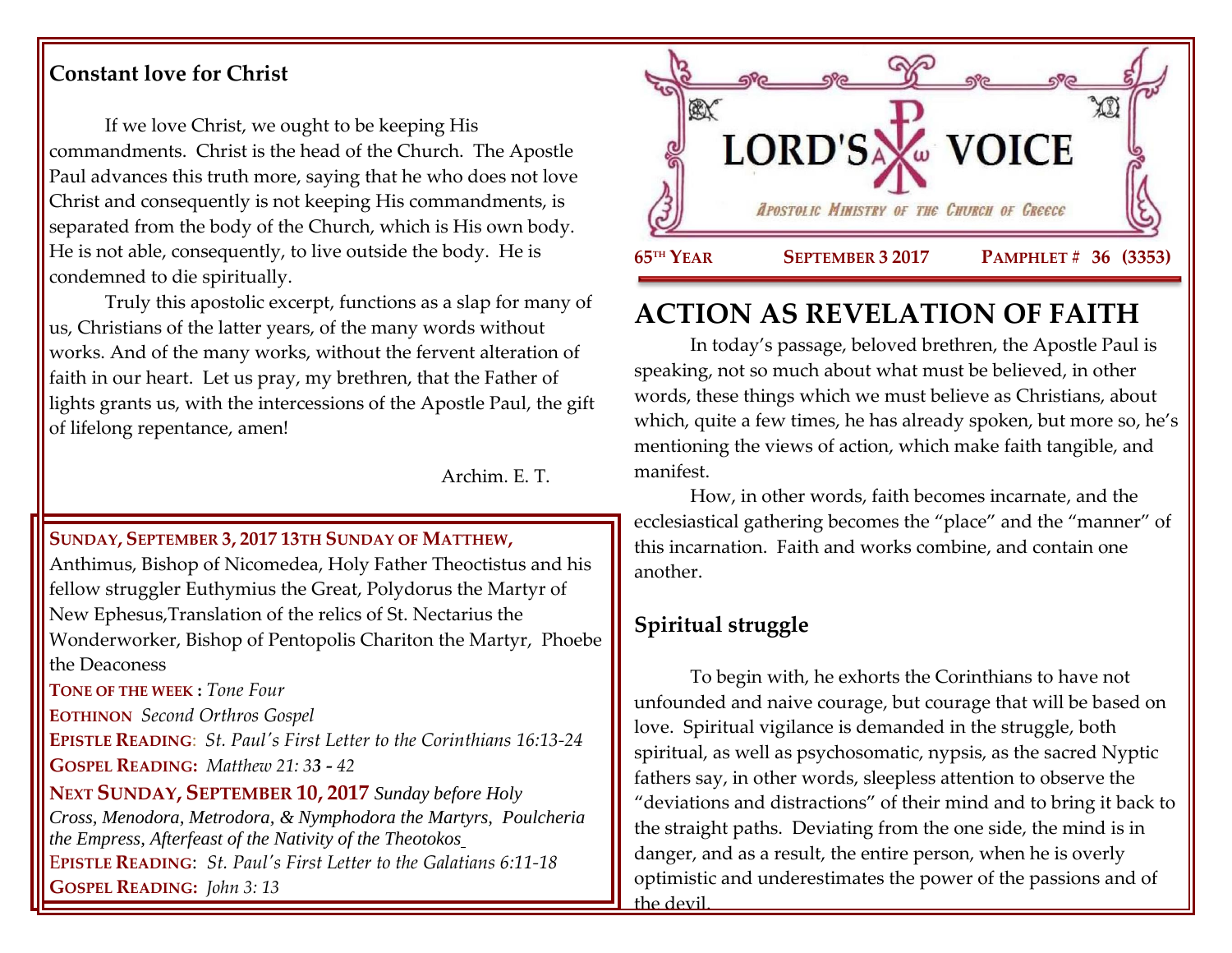## **Constant love for Christ**

If we love Christ, we ought to be keeping His commandments. Christ is the head of the Church. The Apostle Paul advances this truth more, saying that he who does not love Christ and consequently is not keeping His commandments, is separated from the body of the Church, which is His own body. He is not able, consequently, to live outside the body. He is condemned to die spiritually.

Truly this apostolic excerpt, functions as a slap for many of us, Christians of the latter years, of the many words without works. And of the many works, without the fervent alteration of faith in our heart. Let us pray, my brethren, that the Father of lights grants us, with the intercessions of the Apostle Paul, the gift of lifelong repentance, amen!

Archim. E. T.

### **SUNDAY, SEPTEMBER 3, 2017 13TH S[UNDAY OF](https://www.goarch.org/chapel/saints?contentid=1140&PCode=13PES&D=S&date=9/3/2017) MATTHEW,**

Anthimus, Bishop of Nicomedea, Holy Father Theoctistus and his fellow struggler Euthymius the Great, Polydorus the Martyr of New Ephesus,Translation of the relics of St. Nectarius the Wonderworker, Bishop of Pentopolis Chariton the Martyr, Phoebe the Deaconess **TONE OF THE WEEK :** *Tone Four*

**EOTHINON** *Second Orthros Gospel*

**EPISTLE READING**: *[St. Paul's First Letter to the Corinthians 16:13-24](https://www.goarch.org/chapel/lectionary?type=epistle&code=27&event=940&date=5/28/2017)* **GOSPEL READING:** *[Matthew 21: 3](https://www.goarch.org/chapel/lectionary?type=gospel&code=43&event=940&date=5/28/2017)3 - 42*

**NEXT SUNDAY, SEPTEMBER 10, 2017** *Sunday before Holy Cross, [Menodora, Metrodora, & Nymphodora the Martyrs, P](https://www.goarch.org/chapel/saints?contentid=199)oulcheria the Empress, [Afterfeast of the Nativity of the Theotokos](https://www.goarch.org/chapel/saints?contentid=2426)* E**PISTLE READING**: *[St. Paul's First Letter to the Galatians 6:11-18](https://www.goarch.org/chapel/lectionary?type=epistle&code=27&event=940&date=5/28/2017)*  **GOSPEL R[EADING](https://www.goarch.org/chapel/lectionary?type=gospel&code=43&event=940&date=5/28/2017):** *John 3: 13*



# **ACTION AS REVELATION OF FAITH**

In today's passage, beloved brethren, the Apostle Paul is speaking, not so much about what must be believed, in other words, these things which we must believe as Christians, about which, quite a few times, he has already spoken, but more so, he's mentioning the views of action, which make faith tangible, and manifest.

How, in other words, faith becomes incarnate, and the ecclesiastical gathering becomes the "place" and the "manner" of this incarnation. Faith and works combine, and contain one another.

# **Spiritual struggle**

To begin with, he exhorts the Corinthians to have not unfounded and naive courage, but courage that will be based on love. Spiritual vigilance is demanded in the struggle, both spiritual, as well as psychosomatic, nypsis, as the sacred Nyptic fathers say, in other words, sleepless attention to observe the "deviations and distractions" of their mind and to bring it back to the straight paths. Deviating from the one side, the mind is in danger, and as a result, the entire person, when he is overly optimistic and underestimates the power of the passions and of the devil.